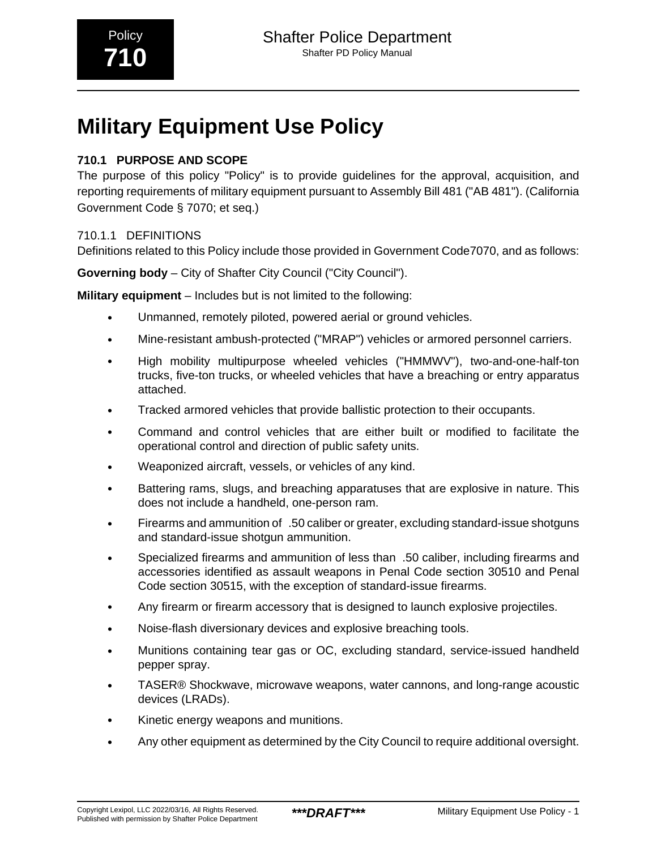# **Military Equipment Use Policy**

## **710.1 PURPOSE AND SCOPE**

The purpose of this policy "Policy" is to provide guidelines for the approval, acquisition, and reporting requirements of military equipment pursuant to Assembly Bill 481 ("AB 481"). (California Government Code § 7070; et seq.)

## 710.1.1 DEFINITIONS

Definitions related to this Policy include those provided in Government Code7070, and as follows:

**Governing body** – City of Shafter City Council ("City Council").

**Military equipment** – Includes but is not limited to the following:

- Unmanned, remotely piloted, powered aerial or ground vehicles.
- Mine-resistant ambush-protected ("MRAP") vehicles or armored personnel carriers.
- High mobility multipurpose wheeled vehicles ("HMMWV"), two-and-one-half-ton trucks, five-ton trucks, or wheeled vehicles that have a breaching or entry apparatus attached.
- Tracked armored vehicles that provide ballistic protection to their occupants.
- Command and control vehicles that are either built or modified to facilitate the operational control and direction of public safety units.
- Weaponized aircraft, vessels, or vehicles of any kind.
- Battering rams, slugs, and breaching apparatuses that are explosive in nature. This does not include a handheld, one-person ram.
- Firearms and ammunition of\_.50 caliber or greater, excluding standard-issue shotguns and standard-issue shotgun ammunition.
- Specialized firearms and ammunition of less than\_.50 caliber, including firearms and accessories identified as assault weapons in Penal Code section 30510 and Penal Code section 30515, with the exception of standard-issue firearms.
- Any firearm or firearm accessory that is designed to launch explosive projectiles.
- Noise-flash diversionary devices and explosive breaching tools.
- Munitions containing tear gas or OC, excluding standard, service-issued handheld pepper spray.
- TASER® Shockwave, microwave weapons, water cannons, and long-range acoustic devices (LRADs).
- Kinetic energy weapons and munitions.
- Any other equipment as determined by the City Council to require additional oversight.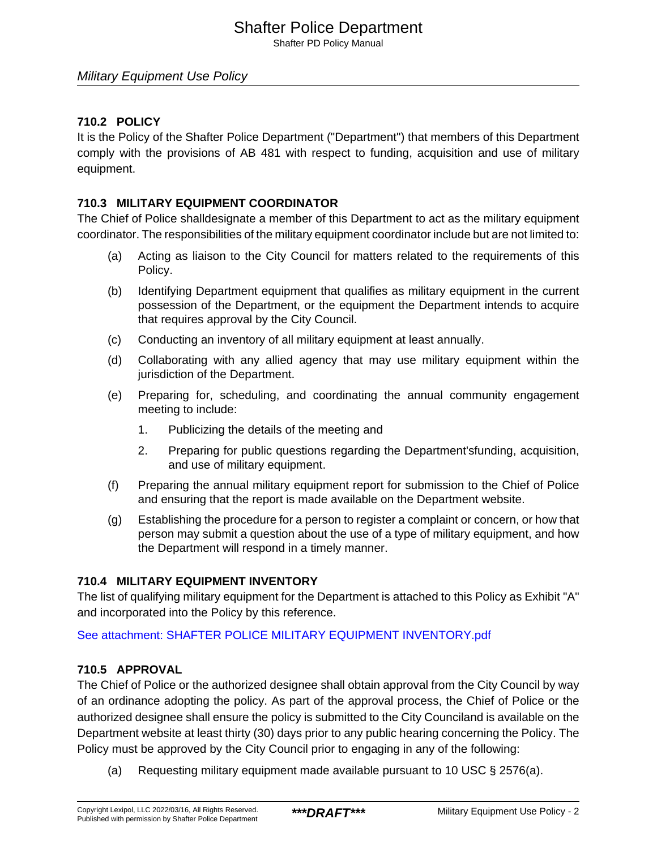## Shafter Police Department

Shafter PD Policy Manual

### Military Equipment Use Policy

### **710.2 POLICY**

It is the Policy of the Shafter Police Department ("Department") that members of this Department comply with the provisions of AB 481 with respect to funding, acquisition and use of military equipment.

### **710.3 MILITARY EQUIPMENT COORDINATOR**

The Chief of Police shalldesignate a member of this Department to act as the military equipment coordinator. The responsibilities of the military equipment coordinator include but are not limited to:

- (a) Acting as liaison to the City Council for matters related to the requirements of this Policy.
- (b) Identifying Department equipment that qualifies as military equipment in the current possession of the Department, or the equipment the Department intends to acquire that requires approval by the City Council.
- (c) Conducting an inventory of all military equipment at least annually.
- (d) Collaborating with any allied agency that may use military equipment within the jurisdiction of the Department.
- (e) Preparing for, scheduling, and coordinating the annual community engagement meeting to include:
	- 1. Publicizing the details of the meeting and
	- 2. Preparing for public questions regarding the Department'sfunding, acquisition, and use of military equipment.
- (f) Preparing the annual military equipment report for submission to the Chief of Police and ensuring that the report is made available on the Department website.
- (g) Establishing the procedure for a person to register a complaint or concern, or how that person may submit a question about the use of a type of military equipment, and how the Department will respond in a timely manner.

### **710.4 MILITARY EQUIPMENT INVENTORY**

The list of qualifying military equipment for the Department is attached to this Policy as Exhibit "A" and incorporated into the Policy by this reference.

[See attachment: SHAFTER POLICE MILITARY EQUIPMENT INVENTORY.pdf](#page-5-0)

### **710.5 APPROVAL**

The Chief of Police or the authorized designee shall obtain approval from the City Council by way of an ordinance adopting the policy. As part of the approval process, the Chief of Police or the authorized designee shall ensure the policy is submitted to the City Counciland is available on the Department website at least thirty (30) days prior to any public hearing concerning the Policy. The Policy must be approved by the City Council prior to engaging in any of the following:

(a) Requesting military equipment made available pursuant to 10 USC § 2576(a).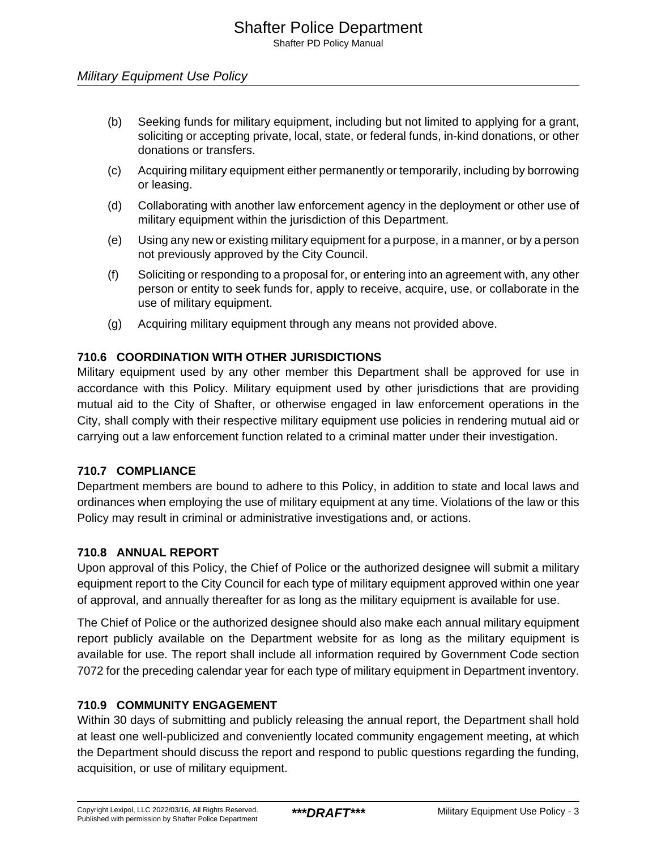Shafter PD Policy Manual

- (b) Seeking funds for military equipment, including but not limited to applying for a grant, soliciting or accepting private, local, state, or federal funds, in-kind donations, or other donations or transfers.
- (c) Acquiring military equipment either permanently or temporarily, including by borrowing or leasing.
- (d) Collaborating with another law enforcement agency in the deployment or other use of military equipment within the jurisdiction of this Department.
- (e) Using any new or existing military equipment for a purpose, in a manner, or by a person not previously approved by the City Council.
- (f) Soliciting or responding to a proposal for, or entering into an agreement with, any other person or entity to seek funds for, apply to receive, acquire, use, or collaborate in the use of military equipment.
- (g) Acquiring military equipment through any means not provided above.

## **710.6 COORDINATION WITH OTHER JURISDICTIONS**

Military equipment used by any other member this Department shall be approved for use in accordance with this Policy. Military equipment used by other jurisdictions that are providing mutual aid to the City of Shafter, or otherwise engaged in law enforcement operations in the City, shall comply with their respective military equipment use policies in rendering mutual aid or carrying out a law enforcement function related to a criminal matter under their investigation.

## **710.7 COMPLIANCE**

Department members are bound to adhere to this Policy, in addition to state and local laws and ordinances when employing the use of military equipment at any time. Violations of the law or this Policy may result in criminal or administrative investigations and, or actions.

## **710.8 ANNUAL REPORT**

Upon approval of this Policy, the Chief of Police or the authorized designee will submit a military equipment report to the City Council for each type of military equipment approved within one year of approval, and annually thereafter for as long as the military equipment is available for use.

The Chief of Police or the authorized designee should also make each annual military equipment report publicly available on the Department website for as long as the military equipment is available for use. The report shall include all information required by Government Code section 7072 for the preceding calendar year for each type of military equipment in Department inventory.

## **710.9 COMMUNITY ENGAGEMENT**

Within 30 days of submitting and publicly releasing the annual report, the Department shall hold at least one well-publicized and conveniently located community engagement meeting, at which the Department should discuss the report and respond to public questions regarding the funding, acquisition, or use of military equipment.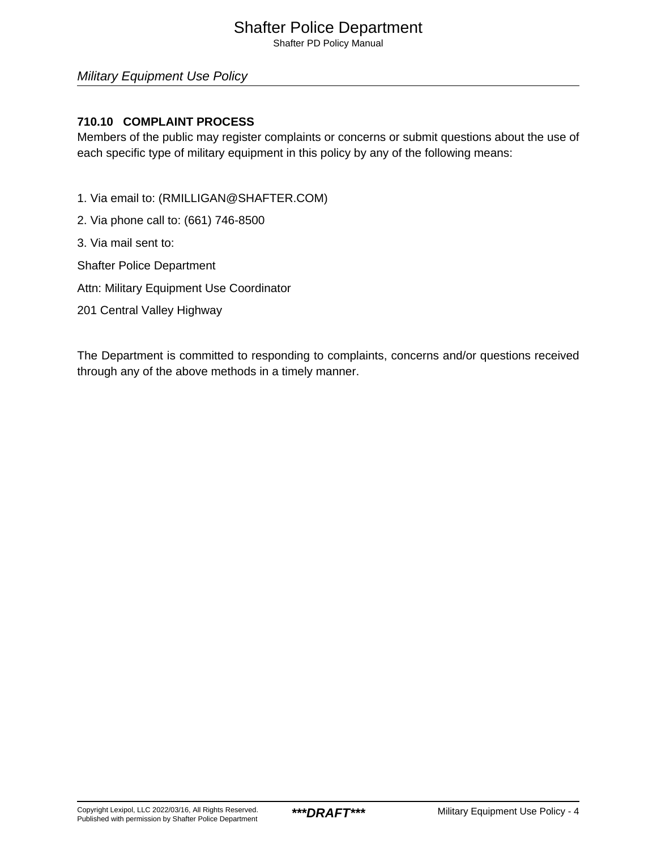## Shafter Police Department

Shafter PD Policy Manual

### Military Equipment Use Policy

### **710.10 COMPLAINT PROCESS**

Members of the public may register complaints or concerns or submit questions about the use of each specific type of military equipment in this policy by any of the following means:

- 1. Via email to: (RMILLIGAN@SHAFTER.COM)
- 2. Via phone call to: (661) 746-8500
- 3. Via mail sent to:
- Shafter Police Department
- Attn: Military Equipment Use Coordinator
- 201 Central Valley Highway

The Department is committed to responding to complaints, concerns and/or questions received through any of the above methods in a timely manner.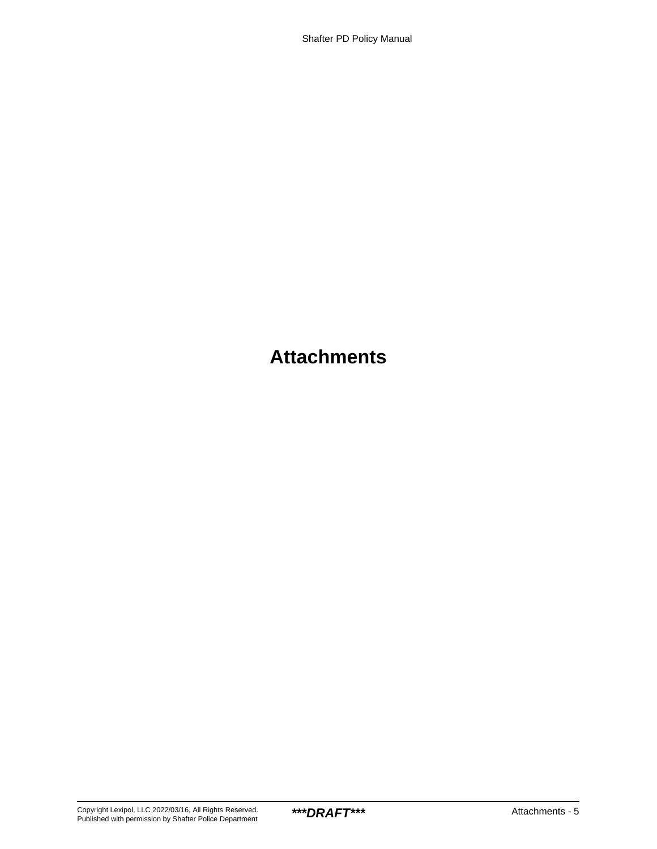## **Attachments**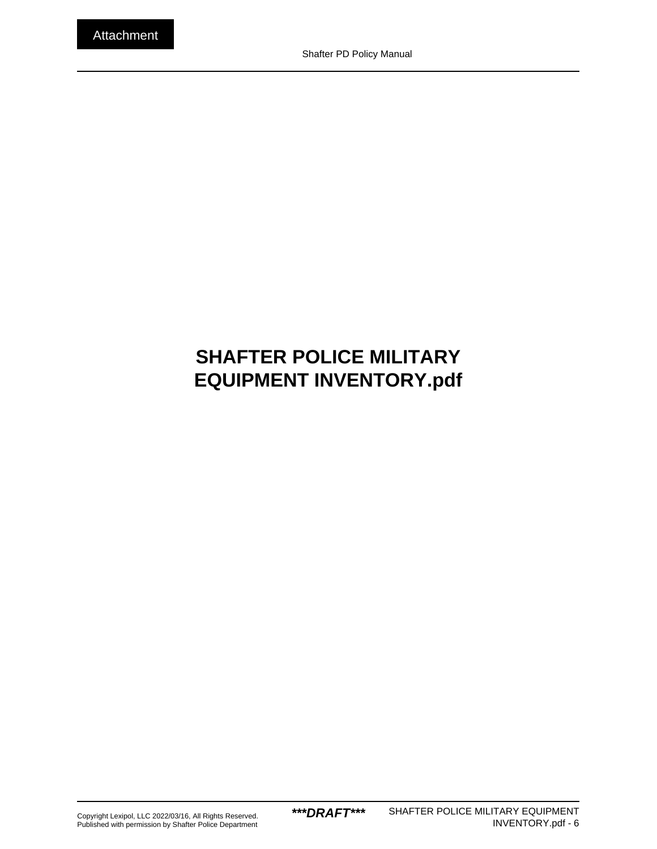# <span id="page-5-0"></span>**SHAFTER POLICE MILITARY EQUIPMENT INVENTORY.pdf**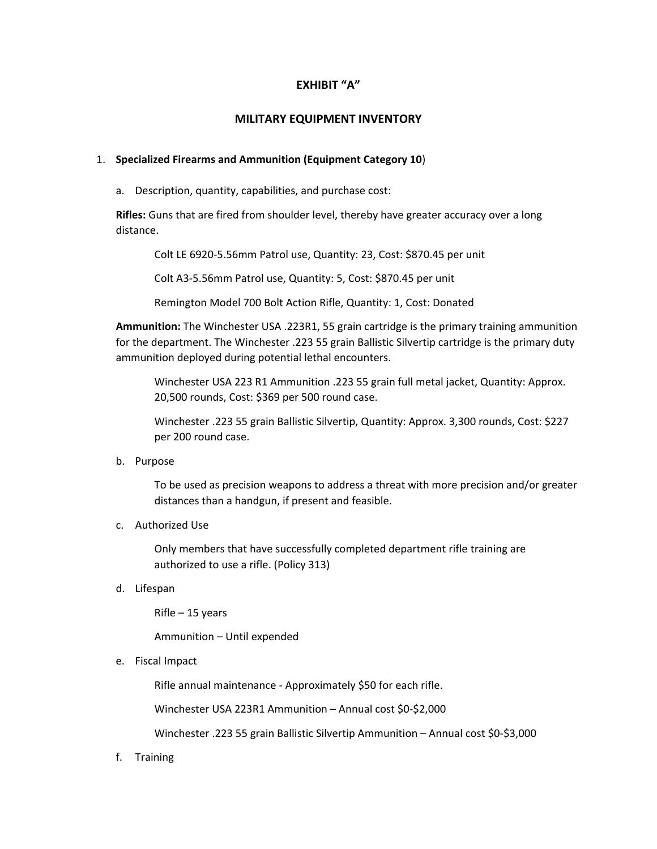### **EXHIBIT "A"**

### **MILITARY EQUIPMENT INVENTORY**

### 1. **Specialized Firearms and Ammunition (Equipment Category 10**)

a. Description, quantity, capabilities, and purchase cost:

**Rifles:** Guns that are fired from shoulder level, thereby have greater accuracy over a long distance.

Colt LE 6920‐5.56mm Patrol use, Quantity: 23, Cost: \$870.45 per unit

Colt A3‐5.56mm Patrol use, Quantity: 5, Cost: \$870.45 per unit

Remington Model 700 Bolt Action Rifle, Quantity: 1, Cost: Donated

**Ammunition:** The Winchester USA .223R1, 55 grain cartridge is the primary training ammunition for the department. The Winchester .223 55 grain Ballistic Silvertip cartridge is the primary duty ammunition deployed during potential lethal encounters.

Winchester USA 223 R1 Ammunition .223 55 grain full metal jacket, Quantity: Approx. 20,500 rounds, Cost: \$369 per 500 round case.

Winchester .223 55 grain Ballistic Silvertip, Quantity: Approx. 3,300 rounds, Cost: \$227 per 200 round case.

b. Purpose

To be used as precision weapons to address a threat with more precision and/or greater distances than a handgun, if present and feasible.

c. Authorized Use

Only members that have successfully completed department rifle training are authorized to use a rifle. (Policy 313)

d. Lifespan

Rifle – 15 years

Ammunition – Until expended

e. Fiscal Impact

Rifle annual maintenance ‐ Approximately \$50 for each rifle.

Winchester USA 223R1 Ammunition – Annual cost \$0‐\$2,000

Winchester .223 55 grain Ballistic Silvertip Ammunition – Annual cost \$0‐\$3,000

f. Training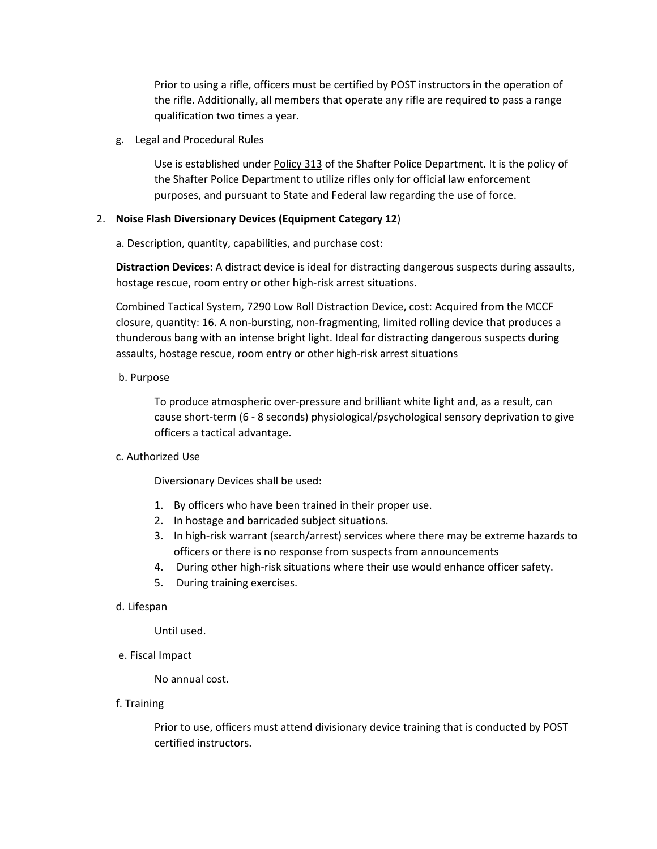Prior to using a rifle, officers must be certified by POST instructors in the operation of the rifle. Additionally, all members that operate any rifle are required to pass a range qualification two times a year.

g. Legal and Procedural Rules

Use is established under **Policy 313** of the Shafter Police Department. It is the policy of the Shafter Police Department to utilize rifles only for official law enforcement purposes, and pursuant to State and Federal law regarding the use of force.

### 2. **Noise Flash Diversionary Devices (Equipment Category 12**)

a. Description, quantity, capabilities, and purchase cost:

**Distraction Devices**: A distract device is ideal for distracting dangerous suspects during assaults, hostage rescue, room entry or other high‐risk arrest situations.

Combined Tactical System, 7290 Low Roll Distraction Device, cost: Acquired from the MCCF closure, quantity: 16. A non‐bursting, non‐fragmenting, limited rolling device that produces a thunderous bang with an intense bright light. Ideal for distracting dangerous suspects during assaults, hostage rescue, room entry or other high‐risk arrest situations

### b. Purpose

To produce atmospheric over‐pressure and brilliant white light and, as a result, can cause short-term (6 - 8 seconds) physiological/psychological sensory deprivation to give officers a tactical advantage.

### c. Authorized Use

Diversionary Devices shall be used:

- 1. By officers who have been trained in their proper use.
- 2. In hostage and barricaded subject situations.
- 3. In high‐risk warrant (search/arrest) services where there may be extreme hazards to officers or there is no response from suspects from announcements
- 4. During other high-risk situations where their use would enhance officer safety.
- 5. During training exercises.

### d. Lifespan

Until used.

e. Fiscal Impact

No annual cost.

f. Training

Prior to use, officers must attend divisionary device training that is conducted by POST certified instructors.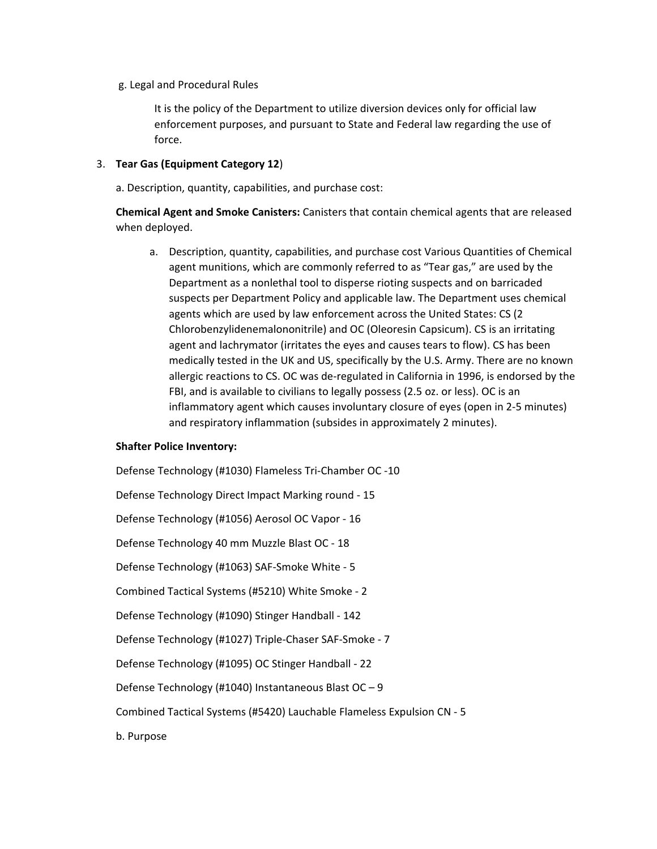g. Legal and Procedural Rules

It is the policy of the Department to utilize diversion devices only for official law enforcement purposes, and pursuant to State and Federal law regarding the use of force.

### 3. **Tear Gas (Equipment Category 12**)

a. Description, quantity, capabilities, and purchase cost:

**Chemical Agent and Smoke Canisters:** Canisters that contain chemical agents that are released when deployed.

a. Description, quantity, capabilities, and purchase cost Various Quantities of Chemical agent munitions, which are commonly referred to as "Tear gas," are used by the Department as a nonlethal tool to disperse rioting suspects and on barricaded suspects per Department Policy and applicable law. The Department uses chemical agents which are used by law enforcement across the United States: CS (2 Chlorobenzylidenemalononitrile) and OC (Oleoresin Capsicum). CS is an irritating agent and lachrymator (irritates the eyes and causes tears to flow). CS has been medically tested in the UK and US, specifically by the U.S. Army. There are no known allergic reactions to CS. OC was de‐regulated in California in 1996, is endorsed by the FBI, and is available to civilians to legally possess (2.5 oz. or less). OC is an inflammatory agent which causes involuntary closure of eyes (open in 2‐5 minutes) and respiratory inflammation (subsides in approximately 2 minutes).

#### **Shafter Police Inventory:**

Defense Technology (#1030) Flameless Tri‐Chamber OC ‐10 Defense Technology Direct Impact Marking round ‐ 15 Defense Technology (#1056) Aerosol OC Vapor ‐ 16 Defense Technology 40 mm Muzzle Blast OC ‐ 18 Defense Technology (#1063) SAF‐Smoke White ‐ 5 Combined Tactical Systems (#5210) White Smoke ‐ 2 Defense Technology (#1090) Stinger Handball ‐ 142 Defense Technology (#1027) Triple‐Chaser SAF‐Smoke ‐ 7 Defense Technology (#1095) OC Stinger Handball ‐ 22 Defense Technology (#1040) Instantaneous Blast OC – 9 Combined Tactical Systems (#5420) Lauchable Flameless Expulsion CN ‐ 5 b. Purpose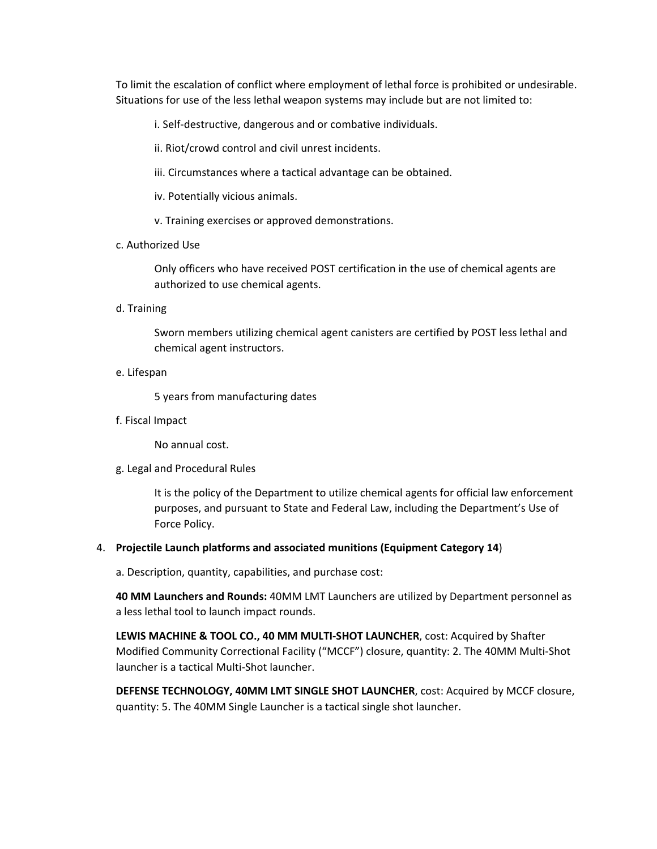To limit the escalation of conflict where employment of lethal force is prohibited or undesirable. Situations for use of the less lethal weapon systems may include but are not limited to:

i. Self‐destructive, dangerous and or combative individuals.

ii. Riot/crowd control and civil unrest incidents.

iii. Circumstances where a tactical advantage can be obtained.

iv. Potentially vicious animals.

v. Training exercises or approved demonstrations.

c. Authorized Use

Only officers who have received POST certification in the use of chemical agents are authorized to use chemical agents.

d. Training

Sworn members utilizing chemical agent canisters are certified by POST less lethal and chemical agent instructors.

e. Lifespan

5 years from manufacturing dates

f. Fiscal Impact

No annual cost.

g. Legal and Procedural Rules

It is the policy of the Department to utilize chemical agents for official law enforcement purposes, and pursuant to State and Federal Law, including the Department's Use of Force Policy.

#### 4. **Projectile Launch platforms and associated munitions (Equipment Category 14**)

a. Description, quantity, capabilities, and purchase cost:

**40 MM Launchers and Rounds:** 40MM LMT Launchers are utilized by Department personnel as a less lethal tool to launch impact rounds.

**LEWIS MACHINE & TOOL CO., 40 MM MULTI‐SHOT LAUNCHER**, cost: Acquired by Shafter Modified Community Correctional Facility ("MCCF") closure, quantity: 2. The 40MM Multi‐Shot launcher is a tactical Multi‐Shot launcher.

**DEFENSE TECHNOLOGY, 40MM LMT SINGLE SHOT LAUNCHER**, cost: Acquired by MCCF closure, quantity: 5. The 40MM Single Launcher is a tactical single shot launcher.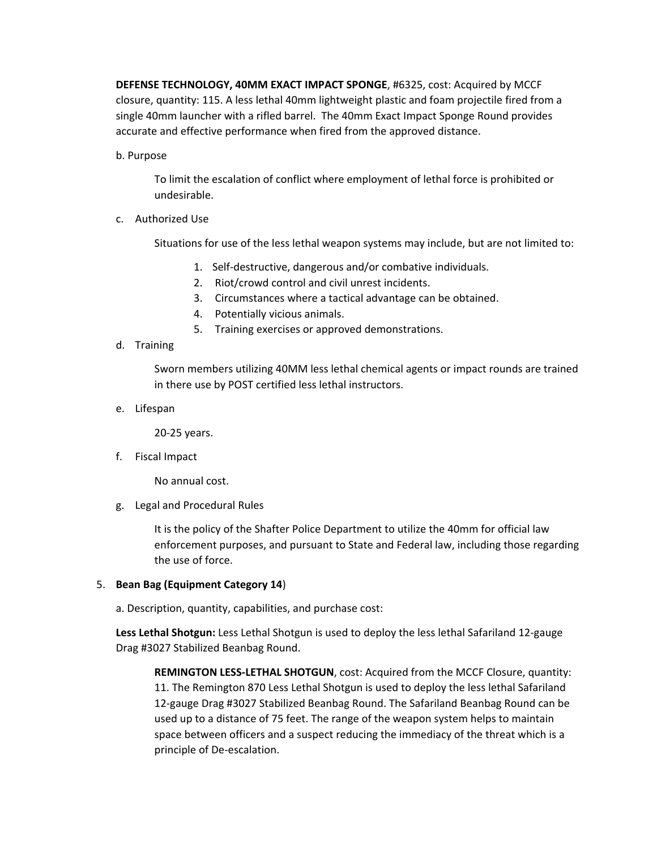**DEFENSE TECHNOLOGY, 40MM EXACT IMPACT SPONGE**, #6325, cost: Acquired by MCCF closure, quantity: 115. A less lethal 40mm lightweight plastic and foam projectile fired from a single 40mm launcher with a rifled barrel. The 40mm Exact Impact Sponge Round provides accurate and effective performance when fired from the approved distance.

b. Purpose

To limit the escalation of conflict where employment of lethal force is prohibited or undesirable.

c. Authorized Use

Situations for use of the less lethal weapon systems may include, but are not limited to:

- 1. Self‐destructive, dangerous and/or combative individuals.
- 2. Riot/crowd control and civil unrest incidents.
- 3. Circumstances where a tactical advantage can be obtained.
- 4. Potentially vicious animals.
- 5. Training exercises or approved demonstrations.
- d. Training

Sworn members utilizing 40MM less lethal chemical agents or impact rounds are trained in there use by POST certified less lethal instructors.

e. Lifespan

20‐25 years.

f. Fiscal Impact

No annual cost.

g. Legal and Procedural Rules

It is the policy of the Shafter Police Department to utilize the 40mm for official law enforcement purposes, and pursuant to State and Federal law, including those regarding the use of force.

- 5. **Bean Bag (Equipment Category 14**)
	- a. Description, quantity, capabilities, and purchase cost:

**Less Lethal Shotgun:** Less Lethal Shotgun is used to deploy the less lethal Safariland 12‐gauge Drag #3027 Stabilized Beanbag Round.

**REMINGTON LESS‐LETHAL SHOTGUN**, cost: Acquired from the MCCF Closure, quantity: 11. The Remington 870 Less Lethal Shotgun is used to deploy the less lethal Safariland 12‐gauge Drag #3027 Stabilized Beanbag Round. The Safariland Beanbag Round can be used up to a distance of 75 feet. The range of the weapon system helps to maintain space between officers and a suspect reducing the immediacy of the threat which is a principle of De‐escalation.